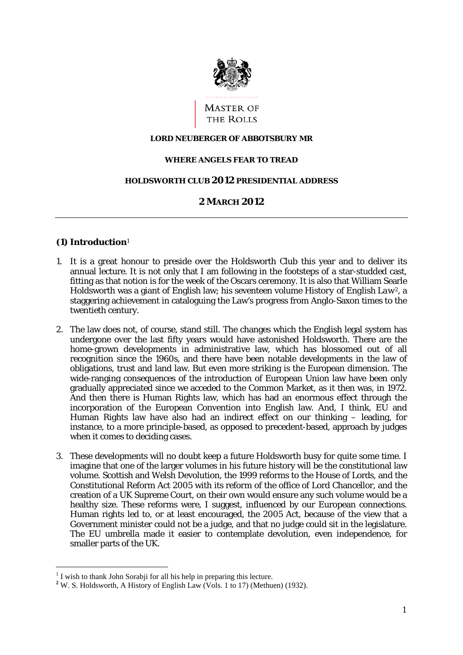

### **LORD NEUBERGER OF ABBOTSBURY MR**

#### **WHERE ANGELS FEAR TO TREAD**

### **HOLDSWORTH CLUB 2012 PRESIDENTIAL ADDRESS**

# **2 MARCH 2012**

## **(1) Introduction**<sup>1</sup>

- twentieth century. 1. It is a great honour to preside over the Holdsworth Club this year and to deliver its annual lecture. It is not only that I am following in the footsteps of a star-studded cast, fitting as that notion is for the week of the Oscars ceremony. It is also that William Searle Holdsworth was a giant of English law; his seventeen volume *History of English Law2*, a staggering achievement in cataloguing the Law's progress from Anglo-Saxon times to the
- recognition since the 1960s, and there have been notable developments in the law of when it comes to deciding cases. 2. The law does not, of course, stand still. The changes which the English legal system has undergone over the last fifty years would have astonished Holdsworth. There are the home-grown developments in administrative law, which has blossomed out of all obligations, trust and land law. But even more striking is the European dimension. The wide-ranging consequences of the introduction of European Union law have been only gradually appreciated since we acceded to the Common Market, as it then was, in 1972. And then there is Human Rights law, which has had an enormous effect through the incorporation of the European Convention into English law. And, I think, EU and Human Rights law have also had an indirect effect on our thinking – leading, for instance, to a more principle-based, as opposed to precedent-based, approach by judges
- Government minister could not be a judge, and that no judge could sit in the legislature. 3. These developments will no doubt keep a future Holdsworth busy for quite some time. I imagine that one of the larger volumes in his future history will be the constitutional law volume. Scottish and Welsh Devolution, the 1999 reforms to the House of Lords, and the Constitutional Reform Act 2005 with its reform of the office of Lord Chancellor, and the creation of a UK Supreme Court, on their own would ensure any such volume would be a healthy size. These reforms were, I suggest, influenced by our European connections. Human rights led to, or at least encouraged, the 2005 Act, because of the view that a The EU umbrella made it easier to contemplate devolution, even independence, for smaller parts of the UK.

<sup>&</sup>lt;sup>1</sup> I wish to thank John Sorabji for all his help in preparing this lecture.

<sup>&</sup>lt;sup>2</sup>W. S. Holdsworth, A History of English Law (Vols. 1 to 17) (Methuen) (1932).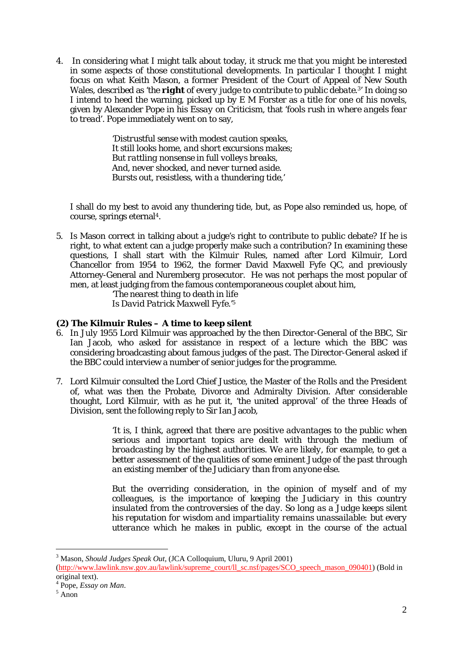to tread. Pope immediately went on to say, 4. In considering what I might talk about today, it struck me that you might be interested in some aspects of those constitutional developments. In particular I thought I might focus on what Keith Mason, a former President of the Court of Appeal of New South Wales, described as '*the right of every judge to contribute to public debate.*3' In doing so I intend to heed the warning, picked up by  $E M$  Forster as a title for one of his novels, given by Alexander Pope in his *Essay on Criticism*, that '*fools rush in where angels fear* 

> 'Distrustful sense with modest caution speaks, *It still looks home, and short excursions makes; But rattling nonsense in full volleys breaks, And, never shocked, and never turned aside. Bursts out, resistless, with a thundering tide,*'

I shall do my best to avoid any thundering tide, but, as Pope also reminded us, hope, of course, springs eternal4.

5. Is Mason correct in talking about a judge's right to contribute to public debate? If he is right, to what extent can a judge properly make such a contribution? In examining these questions, I shall start with the Kilmuir Rules, named after Lord Kilmuir, Lord Chancellor from 1954 to 1962, the former David Maxwell Fyfe QC, and previously Attorney-General and Nuremberg prosecutor. He was not perhaps the most popular of men, at least judging from the famous contemporaneous couplet about him,

> *'The nearest thing to death in life Is David Patrick Maxwell Fyfe.'5*

# **(2) The Kilmuir Rules – A time to keep silent**

- 6. In July 1955 Lord Kilmuir was approached by the then Director-General of the BBC, Sir Ian Jacob, who asked for assistance in respect of a lecture which the BBC was considering broadcasting about famous judges of the past. The Director-General asked if the BBC could interview a number of senior judges for the programme.
- 7. Lord Kilmuir consulted the Lord Chief Justice, the Master of the Rolls and the President of, what was then the Probate, Divorce and Admiralty Division. After considerable thought, Lord Kilmuir, with as he put it, 'the united approval' of the three Heads of Division, sent the following reply to Sir Ian Jacob,

'*It is, I think, agreed that there are positive advantages to the public when serious and important topics are dealt with through the medium of broadcasting by the highest authorities. We are likely, for example, to get a better assessment of the qualities of some eminent Judge of the past through an existing member of the Judiciary than from anyone else.* 

*But the overriding consideration, in the opinion of myself and of my colleagues, is the importance of keeping the Judiciary in this country insulated from the controversies of the day. So long as a Judge keeps silent his reputation for wisdom and impartiality remains unassailable: but every utterance which he makes in public, except in the course of the actual* 

 $\overline{a}$ 

<sup>&</sup>lt;sup>3</sup> Mason, *Should Judges Speak Out*, (JCA Colloquium, Uluru, 9 April 2001)

<sup>(</sup>http://www.lawlink.nsw.gov.au/lawlink/supreme\_court/ll\_sc.nsf/pages/SCO\_speech\_mason\_090401) (Bold in original text).

 $^{4}$  Pope, *Essay on Man*.

Anon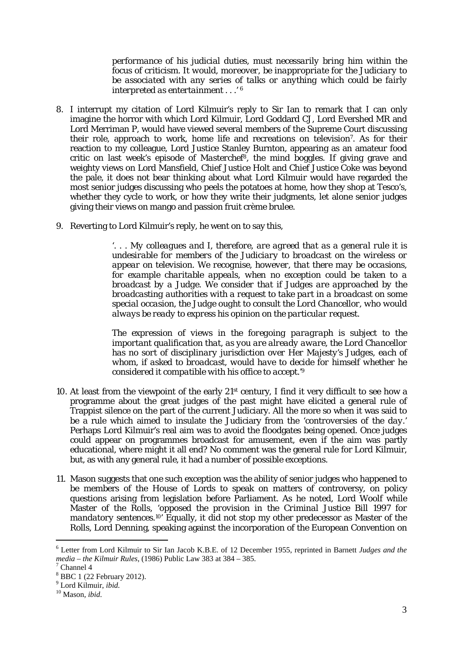*performance of his judicial duties, must necessarily bring him within the focus of criticism. It would, moreover, be inappropriate for the Judiciary to be associated with any series of talks or anything which could be fairly interpreted as entertainment . . .' 6* 

- 8. I interrupt my citation of Lord Kilmuir's reply to Sir Ian to remark that I can only imagine the horror with which Lord Kilmuir, Lord Goddard CJ, Lord Evershed MR and Lord Merriman P, would have viewed several members of the Supreme Court discussing their role, approach to work, home life and recreations on television7. As for their reaction to my colleague, Lord Justice Stanley Burnton, appearing as an amateur food critic on last week's episode of *Masterche*f8, the mind boggles. If giving grave and weighty views on Lord Mansfield, Chief Justice Holt and Chief Justice Coke was beyond the pale, it does not bear thinking about what Lord Kilmuir would have regarded the most senior judges discussing who peels the potatoes at home, how they shop at Tesco's, whether they cycle to work, or how they write their judgments, let alone senior judges giving their views on mango and passion fruit crème brulee.
- 9. Reverting to Lord Kilmuir's reply, he went on to say this,

'*. . . My colleagues and I, therefore, are agreed that as a general rule it is undesirable for members of the Judiciary to broadcast on the wireless or appear on television. We recognise, however, that there may be occasions, for example charitable appeals, when no exception could be taken to a broadcast by a Judge. We consider that if Judges are approached by the broadcasting authorities with a request to take part in a broadcast on some special occasion, the Judge ought to consult the Lord Chancellor, who would always be ready to express his opinion on the particular request.* 

 *considered it compatible with his office to accept.'9 The expression of views in the foregoing paragraph is subject to the important qualification that, as you are already aware, the Lord Chancellor has no sort of disciplinary jurisdiction over Her Majesty's Judges, each of whom, if asked to broadcast, would have to decide for himself whether he* 

- 10. At least from the viewpoint of the early 21st century, I find it very difficult to see how a programme about the great judges of the past might have elicited a general rule of Trappist silence on the part of the current Judiciary. All the more so when it was said to be a rule which aimed to insulate the Judiciary from the '*controversies of the day.*' Perhaps Lord Kilmuir's real aim was to avoid the floodgates being opened. Once judges could appear on programmes broadcast for amusement, even if the aim was partly educational, where might it all end? No comment was the general rule for Lord Kilmuir, but, as with any general rule, it had a number of possible exceptions.
- 11. Mason suggests that one such exception was the ability of senior judges who happened to be members of the House of Lords to speak on matters of controversy, on policy questions arising from legislation before Parliament. As he noted, Lord Woolf while Master of the Rolls, '*opposed the provision in the Criminal Justice Bill 1997 for mandatory sentences.*10' Equally, it did not stop my other predecessor as Master of the Rolls, Lord Denning, speaking against the incorporation of the European Convention on

<sup>6</sup> Letter from Lord Kilmuir to Sir Ian Jacob K.B.E. of 12 December 1955, reprinted in Barnett *Judges and the media – the Kilmuir Rules*, (1986) Public Law 383 at 384 – 385. 7

 $\frac{7}{1}$  Channel 4

<sup>8</sup> BBC 1 (22 February 2012).

<sup>9</sup> Lord Kilmuir, *ibid.* 10 Mason*, ibid*.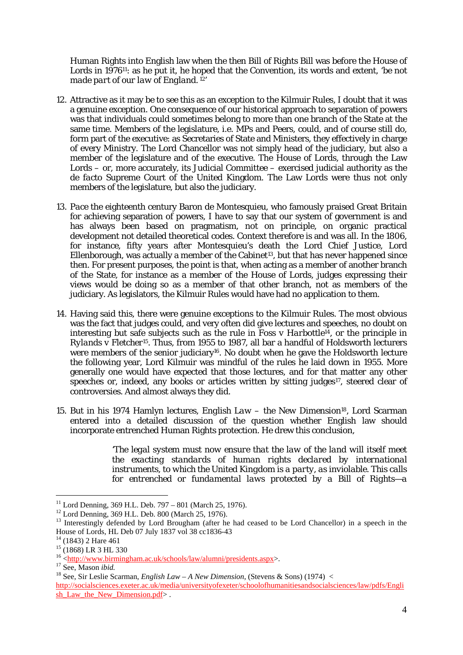Human Rights into English law when the then Bill of Rights Bill was before the House of Lords in 1976<sup>11</sup>: as he put it, he hoped that the Convention, its words and extent, '*be not made part of our law of England.* 12'

- member of the legislature and of the executive. The House of Lords, through the Law members of the legislature, but also the judiciary. 12. Attractive as it may be to see this as an exception to the Kilmuir Rules, I doubt that it was a genuine exception. One consequence of our historical approach to separation of powers was that individuals could sometimes belong to more than one branch of the State at the same time. Members of the legislature, i.e. MPs and Peers, could, and of course still do, form part of the executive: as Secretaries of State and Ministers, they effectively in charge of every Ministry. The Lord Chancellor was not simply head of the judiciary, but also a Lords – or, more accurately, its Judicial Committee – exercised judicial authority as the *de facto* Supreme Court of the United Kingdom. The Law Lords were thus not only
- of the State, for instance as a member of the House of Lords, judges expressing their 13. Pace the eighteenth century Baron de Montesquieu, who famously praised Great Britain for achieving separation of powers, I have to say that our system of government is and has always been based on pragmatism, not on principle, on organic practical development not detailed theoretical codes. Context therefore is and was all. In the 1806, for instance, fifty years after Montesquieu's death the Lord Chief Justice, Lord Ellenborough, was actually a member of the Cabinet<sup>13</sup>, but that has never happened since then. For present purposes, the point is that, when acting as a member of another branch views would be doing so as a member of that other branch, not as members of the judiciary. As legislators, the Kilmuir Rules would have had no application to them.
- the following year, Lord Kilmuir was mindful of the rules he laid down in 1955. More 14. Having said this, there were genuine exceptions to the Kilmuir Rules. The most obvious was the fact that judges could, and very often did give lectures and speeches, no doubt on interesting but safe subjects such as the rule in *Foss v Harbottle<sup>14</sup>*, or the principle in *Rylands v Fletcher15*. Thus, from 1955 to 1987, all bar a handful of Holdsworth lecturers were members of the senior judiciary<sup>16</sup>. No doubt when he gave the Holdsworth lecture generally one would have expected that those lectures, and for that matter any other speeches or, indeed, any books or articles written by sitting judges $17$ , steered clear of controversies. And almost always they did.
- 15. But in his 1974 Hamlyn lectures, *English Law the New Dimension*18, Lord Scarman entered into a detailed discussion of the question whether English law should incorporate entrenched Human Rights protection. He drew this conclusion,

'*The legal system must now ensure that the law of the land will itself meet the exacting standards of human rights declared by international instruments, to which the United Kingdom is a party, as inviolable. This calls for entrenched or fundamental laws protected by a Bill of Rights—a* 

<sup>&</sup>lt;sup>11</sup> Lord Denning, 369 H.L. Deb. 797 – 801 (March 25, 1976).

<sup>12</sup> Lord Denning, 369 H.L. Deb. 800 (March 25, 1976).

<sup>&</sup>lt;sup>13</sup> Interestingly defended by Lord Brougham (after he had ceased to be Lord Chancellor) in a speech in the House of Lords, HL Deb 07 July 1837 vol 38 cc1836-43<br><sup>14</sup> (1843) 2 Hare 461

 $15$  (1868) LR 3 HL 330

<sup>&</sup>lt;sup>16</sup> < $\frac{\text{http://www.birmingham.ac.uk/schools/law/alumni/presidents.aspx>}{\text{See}}$ . Mason *ibid.* 

<sup>&</sup>lt;sup>18</sup> See, Sir Leslie Scarman, *English Law – A New Dimension*, (Stevens & Sons) (1974) <

http://socialsciences.exeter.ac.uk/media/universityofexeter/schoolofhumanitiesandsocialsciences/law/pdfs/Engli sh\_Law\_the\_New\_Dimension.pdf>.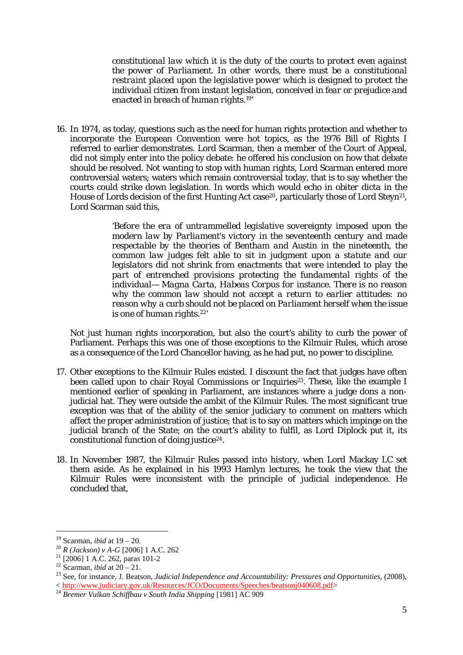*constitutional law which it is the duty of the courts to protect even against the power of Parliament. In other words, there must be a constitutional restraint placed upon the legislative power which is designed to protect the individual citizen from instant legislation, conceived in fear or prejudice and enacted in breach of human rights.*19'

16. In 1974, as today, questions such as the need for human rights protection and whether to incorporate the European Convention were hot topics, as the 1976 Bill of Rights I referred to earlier demonstrates. Lord Scarman, then a member of the Court of Appeal, did not simply enter into the policy debate: he offered his conclusion on how that debate should be resolved. Not wanting to stop with human rights, Lord Scarman entered more controversial waters; waters which remain controversial today, that is to say whether the courts could strike down legislation. In words which would echo in *obiter dicta* in the House of Lords decision of the first Hunting Act case<sup>20</sup>, particularly those of Lord Steyn<sup>21</sup>, Lord Scarman said this,

> '*Before the era of untrammelled legislative sovereignty imposed upon the modern law by Parliament's victory in the seventeenth century and made respectable by the theories of Bentham and Austin in the nineteenth, the common law judges felt able to sit in judgment upon a statute and our legislators did not shrink from enactments that were intended to play the part of entrenched provisions protecting the fundamental rights of the individual— Magna Carta, Habeas Corpus for instance. There is no reason why the common law should not accept a return to earlier attitudes: no reason why a curb should not be placed on Parliament herself when the issue is one of human rights.*22'

Not just human rights incorporation, but also the court's ability to curb the power of Parliament. Perhaps this was one of those exceptions to the Kilmuir Rules, which arose as a consequence of the Lord Chancellor having, as he had put, no power to discipline.

- 17. Other exceptions to the Kilmuir Rules existed. I discount the fact that judges have often been called upon to chair Royal Commissions or Inquiries<sup>23</sup>. These, like the example I mentioned earlier of speaking in Parliament, are instances where a judge dons a nonjudicial hat. They were outside the ambit of the Kilmuir Rules. The most significant true exception was that of the ability of the senior judiciary to comment on matters which affect the proper administration of justice; that is to say on matters which impinge on the judicial branch of the State; on the court's ability to fulfil, as Lord Diplock put it, its constitutional function of doing justice24.
- 18. In November 1987, the Kilmuir Rules passed into history, when Lord Mackay LC set them aside. As he explained in his 1993 Hamlyn lectures, he took the view that the Kilmuir Rules were inconsistent with the principle of judicial independence. He concluded that,

<sup>&</sup>lt;sup>19</sup> Scarman, *ibid* at  $19 - 20$ .

<sup>&</sup>lt;sup>20</sup> *R* (*Jackson*) *v A*-*G* [2006] 1 A.C. 262<br><sup>21</sup> [2006] 1 A.C. 262, paras 101-2<br><sup>22</sup> Scarman, *ibid* at 20 – 21.

<sup>&</sup>lt;sup>23</sup> See, for instance, J. Beatson, *Judicial Independence and Accountability: Pressures and Opportunities*, (2008),  $<$  http://www.judiciary.gov.uk/Resources/JCO/Documents/Speeches/beatsonj040608.pdf>

<sup>&</sup>lt;sup>24</sup> Bremer Vulkan Schiffbau v South India Shipping [1981] AC 909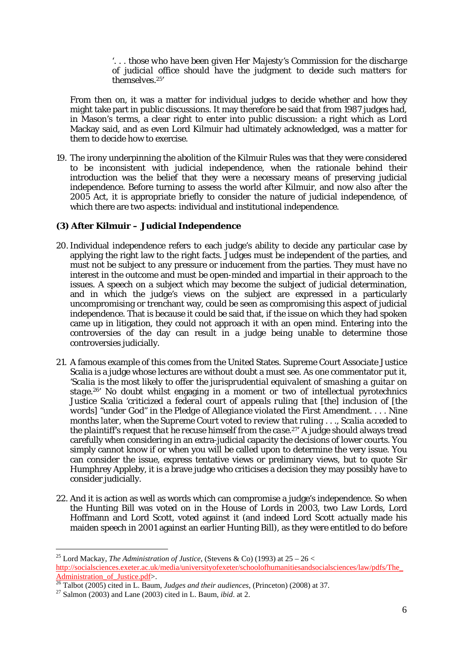'. . . *those who have been given Her Majesty's Commission for the discharge of judicial office should have the judgment to decide such matters for themselves.*25'

From then on, it was a matter for individual judges to decide whether and how they might take part in public discussions. It may therefore be said that from 1987 judges had, in Mason's terms, a clear right to enter into public discussion: a right which as Lord Mackay said, and as even Lord Kilmuir had ultimately acknowledged, was a matter for them to decide how to exercise.

 which there are two aspects: individual and institutional independence. 19. The irony underpinning the abolition of the Kilmuir Rules was that they were considered to be inconsistent with judicial independence, when the rationale behind their introduction was the belief that they were a necessary means of preserving judicial independence. Before turning to assess the world after Kilmuir, and now also after the 2005 Act, it is appropriate briefly to consider the nature of judicial independence, of

# **(3) After Kilmuir – Judicial Independence**

- 20. Individual independence refers to each judge's ability to decide any particular case by applying the right law to the right facts. Judges must be independent of the parties, and must not be subject to any pressure or inducement from the parties. They must have no interest in the outcome and must be open-minded and impartial in their approach to the issues. A speech on a subject which may become the subject of judicial determination, and in which the judge's views on the subject are expressed in a particularly uncompromising or trenchant way, could be seen as compromising this aspect of judicial independence. That is because it could be said that, if the issue on which they had spoken came up in litigation, they could not approach it with an open mind. Entering into the controversies of the day can result in a judge being unable to determine those controversies judicially.
- *words] "under God" in the Pledge of Allegiance violated the First Amendment. . . . Nine*  simply cannot know if or when you will be called upon to determine the very issue. You 21. A famous example of this comes from the United States. Supreme Court Associate Justice Scalia is a judge whose lectures are without doubt a must see. As one commentator put it, '*Scalia is the most likely to offer the jurisprudential equivalent of smashing a guitar on stage.*26' No doubt whilst engaging in a moment or two of intellectual pyrotechnics Justice Scalia '*criticized a federal court of appeals ruling that [the] inclusion of [the months later, when the Supreme Court voted to review that ruling . . ., Scalia acceded to the plaintiff's request that he recuse himself from the case.*27' A judge should always tread carefully when considering in an extra-judicial capacity the decisions of lower courts. You can consider the issue, express tentative views or preliminary views, but to quote Sir Humphrey Appleby, it is a brave judge who criticises a decision they may possibly have to consider judicially.
- 22. And it is action as well as words which can compromise a judge's independence. So when the Hunting Bill was voted on in the House of Lords in 2003, two Law Lords, Lord Hoffmann and Lord Scott, voted against it (and indeed Lord Scott actually made his maiden speech in 2001 against an earlier Hunting Bill), as they were entitled to do before

 $\overline{a}$ 

<sup>25</sup> Lord Mackay, *The Administration of Justice*, (Stevens & Co) (1993) at 25 – 26 < http://socialsciences.exeter.ac.uk/media/universityofexeter/schoolofhumanitiesandsocialsciences/law/pdfs/The\_ Administration\_of\_Justice.pdf>. 26 Talbot (2005) cited in L. Baum, *Judges and their audiences*, (Princeton) (2008) at 37. 27 Salmon (2003) and Lane (2003) cited in L. Baum*, ibid*. at 2.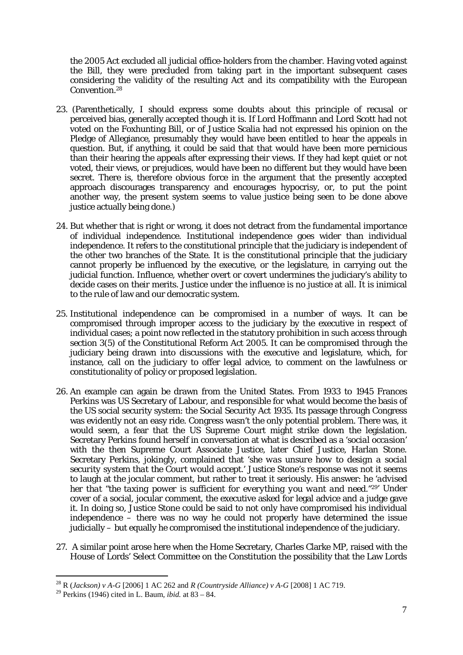the 2005 Act excluded all judicial office-holders from the chamber. Having voted against the Bill, they were precluded from taking part in the important subsequent cases considering the validity of the resulting Act and its compatibility with the European Convention.28

- 23. (Parenthetically, I should express some doubts about this principle of recusal or perceived bias, generally accepted though it is. If Lord Hoffmann and Lord Scott had not voted on the Foxhunting Bill, or of Justice Scalia had not expressed his opinion on the Pledge of Allegiance, presumably they would have been entitled to hear the appeals in question. But, if anything, it could be said that that would have been more pernicious than their hearing the appeals after expressing their views. If they had kept quiet or not voted, their views, or prejudices, would have been no different but they would have been secret. There is, therefore obvious force in the argument that the presently accepted approach discourages transparency and encourages hypocrisy, or, to put the point another way, the present system seems to value justice being seen to be done above justice actually being done.)
- 24. But whether that is right or wrong, it does not detract from the fundamental importance of individual independence. Institutional independence goes wider than individual independence. It refers to the constitutional principle that the judiciary is independent of the other two branches of the State. It is the constitutional principle that the judiciary cannot properly be influenced by the executive, or the legislature, in carrying out the judicial function. Influence, whether overt or covert undermines the judiciary's ability to decide cases on their merits. Justice under the influence is no justice at all. It is inimical to the rule of law and our democratic system.
- 25. Institutional independence can be compromised in a number of ways. It can be compromised through improper access to the judiciary by the executive in respect of individual cases; a point now reflected in the statutory prohibition in such access through section 3(5) of the Constitutional Reform Act 2005. It can be compromised through the judiciary being drawn into discussions with the executive and legislature, which, for instance, call on the judiciary to offer legal advice, to comment on the lawfulness or constitutionality of policy or proposed legislation.
- 26. An example can again be drawn from the United States. From 1933 to 1945 Frances Perkins was US Secretary of Labour, and responsible for what would become the basis of the US social security system: the Social Security Act 1935. Its passage through Congress was evidently not an easy ride. Congress wasn't the only potential problem. There was, it would seem, a fear that the US Supreme Court might strike down the legislation. Secretary Perkins found herself in conversation at what is described as a '*social occasion*' with the then Supreme Court Associate Justice, later Chief Justice, Harlan Stone. Secretary Perkins, jokingly, complained that '*she was unsure how to design a social security system that the Court would accept.*' Justice Stone's response was not it seems to laugh at the jocular comment, but rather to treat it seriously. His answer: he '*advised her that "the taxing power is sufficient for everything you want and need."29*' Under cover of a social, jocular comment, the executive asked for legal advice and a judge gave it. In doing so, Justice Stone could be said to not only have compromised his individual independence – there was no way he could not properly have determined the issue judicially – but equally he compromised the institutional independence of the judiciary.
- 27. A similar point arose here when the Home Secretary, Charles Clarke MP, raised with the House of Lords' Select Committee on the Constitution the possibility that the Law Lords

 $\overline{a}$ 

<sup>28</sup> R (*Jackson) v A-G* [2006] 1 AC 262 and *R (Countryside Alliance) v A-G* [2008] 1 AC 719.

<sup>29</sup> Perkins (1946) cited in L. Baum*, ibid.* at 83 – 84.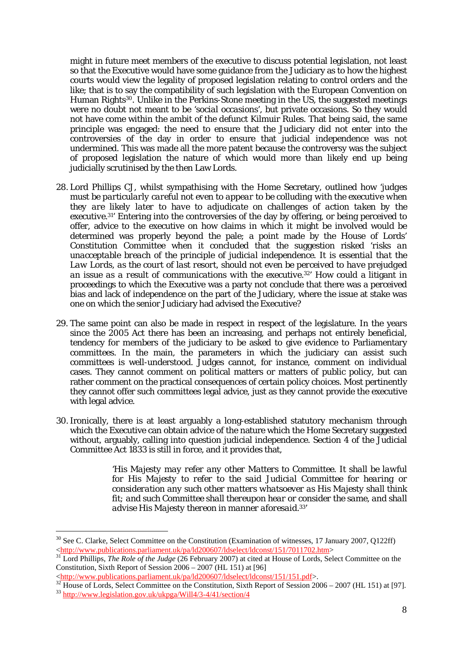judicially scrutinised by the then Law Lords. might in future meet members of the executive to discuss potential legislation, not least so that the Executive would have some guidance from the Judiciary as to how the highest courts would view the legality of proposed legislation relating to control orders and the like; that is to say the compatibility of such legislation with the European Convention on Human Rights30. Unlike in the Perkins-Stone meeting in the US, the suggested meetings were no doubt not meant to be '*social occasions*', but private occasions. So they would not have come within the ambit of the defunct Kilmuir Rules. That being said, the same principle was engaged: the need to ensure that the Judiciary did not enter into the controversies of the day in order to ensure that judicial independence was not undermined. This was made all the more patent because the controversy was the subject of proposed legislation the nature of which would more than likely end up being

- offer, advice to the executive on how claims in which it might be involved would be one on which the senior Judiciary had advised the Executive? judicially scrutinised by the then Law Lords. 28. Lord Phillips CJ, whilst sympathising with the Home Secretary, outlined how '*judges must be particularly careful not even to appear to be colluding with the executive when they are likely later to have to adjudicate on challenges of action taken by the executive.31*' Entering into the controversies of the day by offering, or being perceived to determined was properly beyond the pale; a point made by the House of Lords' Constitution Committee when it concluded that the suggestion risked '*risks an unacceptable breach of the principle of judicial independence. It is essential that the Law Lords, as the court of last resort, should not even be perceived to have prejudged an issue as a result of communications with the executive.32*' How could a litigant in proceedings to which the Executive was a party not conclude that there was a perceived bias and lack of independence on the part of the Judiciary, where the issue at stake was
- 29. The same point can also be made in respect in respect of the legislature. In the years since the 2005 Act there has been an increasing, and perhaps not entirely beneficial, tendency for members of the judiciary to be asked to give evidence to Parliamentary committees. In the main, the parameters in which the judiciary can assist such committees is well-understood. Judges cannot, for instance, comment on individual cases. They cannot comment on political matters or matters of public policy, but can rather comment on the practical consequences of certain policy choices. Most pertinently they cannot offer such committees legal advice, just as they cannot provide the executive with legal advice.
- 30. Ironically, there is at least arguably a long-established statutory mechanism through which the Executive can obtain advice of the nature which the Home Secretary suggested without, arguably, calling into question judicial independence. Section 4 of the Judicial Committee Act 1833 is still in force, and it provides that,

'*His Majesty may refer any other Matters to Committee. It shall be lawful for His Majesty to refer to the said Judicial Committee for hearing or consideration any such other matters whatsoever as His Majesty shall think fit; and such Committee shall thereupon hear or consider the same, and shall advise His Majesty thereon in manner aforesaid*. 33'

<sup>&</sup>lt;sup>30</sup> See C. Clarke, Select Committee on the Constitution (Examination of witnesses, 17 January 2007, Q122ff)  $\langle$ http://www.publications.parliament.uk/pa/ld200607/ldselect/ldconst/151/7011702.htm>

 <http://www.publications.parliament.uk/pa/ld200607/ldselect/ldconst/151/7011702.htm> 31 Lord Phillips, *The Role of the Judge* (26 February 2007) at cited at House of Lords, Select Committee on the Constitution, Sixth Report of Session 2006 – 2007 (HL 151) at [96]

<sup>&</sup>lt;http://www.publications.parliament.uk/pa/ld200607/ldselect/ldconst/151/151.pdf>.

Į.  $\frac{32 \text{ House of Lords, Select Committee on the Constitution, Sixth Report of Session 2006 - 2007 (HL 151) at [97].}$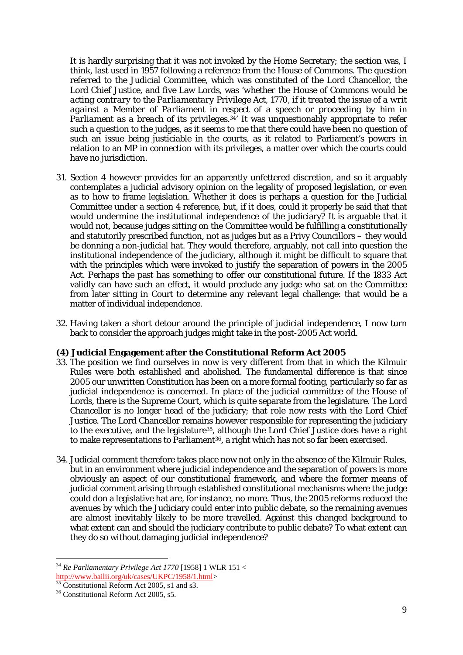It is hardly surprising that it was not invoked by the Home Secretary; the section was, I think, last used in 1957 following a reference from the House of Commons. The question referred to the Judicial Committee, which was constituted of the Lord Chancellor, the Lord Chief Justice, and five Law Lords, was '*whether the House of Commons would be acting contrary to the Parliamentary Privilege Act, 1770, if it treated the issue of a writ*  against a Member of Parliament in respect of a speech or proceeding by him in *Parliament as a breach of its privileges.<sup>34</sup>* It was unquestionably appropriate to refer such a question to the judges, as it seems to me that there could have been no question of such an issue being justiciable in the courts, as it related to Parliament's powers in relation to an MP in connection with its privileges, a matter over which the courts could have no jurisdiction.

- 31. Section 4 however provides for an apparently unfettered discretion, and so it arguably contemplates a judicial advisory opinion on the legality of proposed legislation, or even as to how to frame legislation. Whether it does is perhaps a question for the Judicial Committee under a section 4 reference, but, if it does, could it properly be said that that would undermine the institutional independence of the judiciary? It is arguable that it would not, because judges sitting on the Committee would be fulfilling a constitutionally and statutorily prescribed function, not as judges but as a Privy Councillors – they would be donning a non-judicial hat. They would therefore, arguably, not call into question the institutional independence of the judiciary, although it might be difficult to square that with the principles which were invoked to justify the separation of powers in the 2005 Act. Perhaps the past has something to offer our constitutional future. If the 1833 Act validly can have such an effect, it would preclude any judge who sat on the Committee from later sitting in Court to determine any relevant legal challenge: that would be a matter of individual independence.
- 32. Having taken a short detour around the principle of judicial independence, I now turn back to consider the approach judges might take in the post-2005 Act world.

## **(4) Judicial Engagement after the Constitutional Reform Act 2005**

- 33. The position we find ourselves in now is very different from that in which the Kilmuir Rules were both established and abolished. The fundamental difference is that since 2005 our unwritten Constitution has been on a more formal footing, particularly so far as judicial independence is concerned. In place of the judicial committee of the House of Lords, there is the Supreme Court, which is quite separate from the legislature. The Lord Chancellor is no longer head of the judiciary; that role now rests with the Lord Chief Justice. The Lord Chancellor remains however responsible for representing the judiciary to the executive, and the legislature35, although the Lord Chief Justice does have a right to make representations to Parliament<sup>36</sup>, a right which has not so far been exercised.
- what extent can and should the judiciary contribute to public debate? To what extent can 34. Judicial comment therefore takes place now not only in the absence of the Kilmuir Rules, but in an environment where judicial independence and the separation of powers is more obviously an aspect of our constitutional framework, and where the former means of judicial comment arising through established constitutional mechanisms where the judge could don a legislative hat are, for instance, no more. Thus, the 2005 reforms reduced the avenues by which the Judiciary could enter into public debate, so the remaining avenues are almost inevitably likely to be more travelled. Against this changed background to they do so without damaging judicial independence?

<sup>&</sup>lt;sup>34</sup> Re Parliamentary Privilege Act 1770 [1958] 1 WLR 151 <<br>http://www.bailii.org/uk/cases/UKPC/1958/1.html>

 $\frac{1}{35}$  Constitutional Reform Act 2005, s1 and s3.

<sup>&</sup>lt;sup>36</sup> Constitutional Reform Act 2005, s5.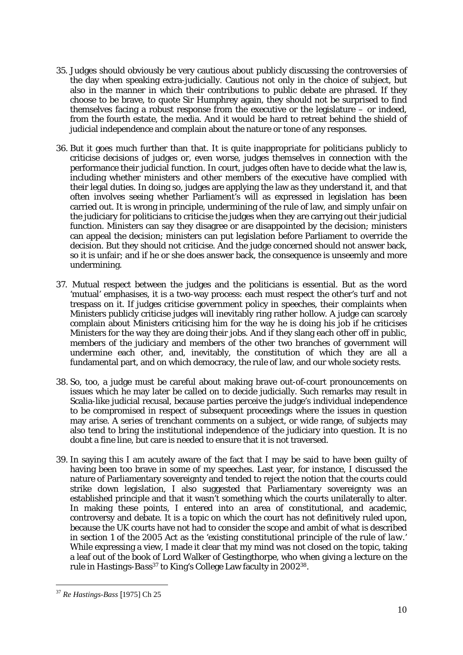- judicial independence and complain about the nature or tone of any responses. 35. Judges should obviously be very cautious about publicly discussing the controversies of the day when speaking extra-judicially. Cautious not only in the choice of subject, but also in the manner in which their contributions to public debate are phrased. If they choose to be brave, to quote Sir Humphrey again, they should not be surprised to find themselves facing a robust response from the executive or the legislature – or indeed, from the fourth estate, the media. And it would be hard to retreat behind the shield of
- 36. But it goes much further than that. It is quite inappropriate for politicians publicly to criticise decisions of judges or, even worse, judges themselves in connection with the performance their judicial function. In court, judges often have to decide what the law is, including whether ministers and other members of the executive have complied with their legal duties. In doing so, judges are applying the law as they understand it, and that often involves seeing whether Parliament's will as expressed in legislation has been carried out. It is wrong in principle, undermining of the rule of law, and simply unfair on the judiciary for politicians to criticise the judges when they are carrying out their judicial function. Ministers can say they disagree or are disappointed by the decision; ministers can appeal the decision; ministers can put legislation before Parliament to override the decision. But they should not criticise. And the judge concerned should not answer back, so it is unfair; and if he or she does answer back, the consequence is unseemly and more undermining.
- 'mutual' emphasises, it is a two-way process: each must respect the other's turf and not 37. Mutual respect between the judges and the politicians is essential. But as the word trespass on it. If judges criticise government policy in speeches, their complaints when Ministers publicly criticise judges will inevitably ring rather hollow. A judge can scarcely complain about Ministers criticising him for the way he is doing his job if he criticises Ministers for the way they are doing their jobs. And if they slang each other off in public, members of the judiciary and members of the other two branches of government will undermine each other, and, inevitably, the constitution of which they are all a fundamental part, and on which democracy, the rule of law, and our whole society rests.
- Scalia-like judicial recusal, because parties perceive the judge's individual independence 38. So, too, a judge must be careful about making brave out-of-court pronouncements on issues which he may later be called on to decide judicially. Such remarks may result in to be compromised in respect of subsequent proceedings where the issues in question may arise. A series of trenchant comments on a subject, or wide range, of subjects may also tend to bring the institutional independence of the judiciary into question. It is no doubt a fine line, but care is needed to ensure that it is not traversed.
- 39. In saying this I am acutely aware of the fact that I may be said to have been guilty of having been too brave in some of my speeches. Last year, for instance, I discussed the nature of Parliamentary sovereignty and tended to reject the notion that the courts could strike down legislation, I also suggested that Parliamentary sovereignty was an established principle and that it wasn't something which the courts unilaterally to alter. In making these points, I entered into an area of constitutional, and academic, controversy and debate. It is a topic on which the court has not definitively ruled upon, because the UK courts have not had to consider the scope and ambit of what is described in section 1 of the 2005 Act as the '*existing constitutional principle of the rule of law.*' While expressing a view, I made it clear that my mind was not closed on the topic, taking a leaf out of the book of Lord Walker of Gestingthorpe, who when giving a lecture on the rule in *Hastings-Bass37* to King's College Law faculty in 200238.

<sup>37</sup>*Re Hastings-Bass* [1975] Ch 25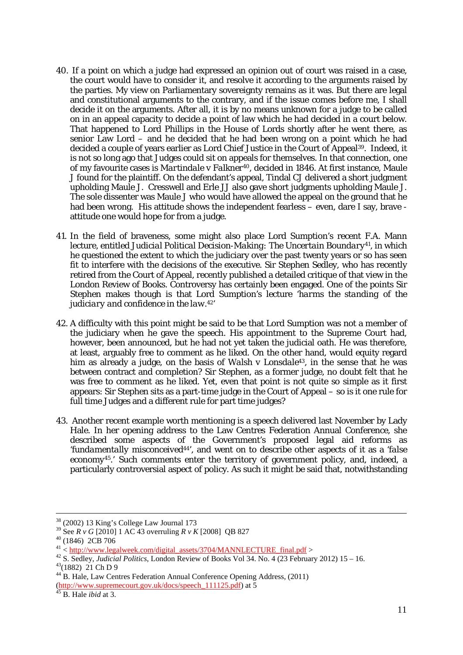- decide it on the arguments. After all, it is by no means unknown for a judge to be called 40. If a point on which a judge had expressed an opinion out of court was raised in a case, the court would have to consider it, and resolve it according to the arguments raised by the parties. My view on Parliamentary sovereignty remains as it was. But there are legal and constitutional arguments to the contrary, and if the issue comes before me, I shall on in an appeal capacity to decide a point of law which he had decided in a court below. That happened to Lord Phillips in the House of Lords shortly after he went there, as senior Law Lord – and he decided that he had been wrong on a point which he had decided a couple of years earlier as Lord Chief Justice in the Court of Appeal39. Indeed, it is not so long ago that Judges could sit on appeals for themselves. In that connection, one of my favourite cases is *Martindale v Falkner40*, decided in 1846. At first instance, Maule J found for the plaintiff. On the defendant's appeal, Tindal CJ delivered a short judgment upholding Maule J. Cresswell and Erle JJ also gave short judgments upholding Maule J. The sole dissenter was Maule J who would have allowed the appeal on the ground that he had been wrong. His attitude shows the independent fearless – even, dare I say, brave attitude one would hope for from a judge.
- 41. In the field of braveness, some might also place Lord Sumption's recent F.A. Mann lecture, entitled *Judicial Political Decision-Making: The Uncertain Boundary*41, in which he questioned the extent to which the judiciary over the past twenty years or so has seen fit to interfere with the decisions of the executive. Sir Stephen Sedley, who has recently retired from the Court of Appeal, recently published a detailed critique of that view in the London Review of Books. Controversy has certainly been engaged. One of the points Sir Stephen makes though is that Lord Sumption's lecture '*harms the standing of the judiciary and confidence in the law.42*'
- him as already a judge, on the basis of *Walsh v Lonsdale43*, in the sense that he was between contract and completion? Sir Stephen, as a former judge, no doubt felt that he 42. A difficulty with this point might be said to be that Lord Sumption was not a member of the judiciary when he gave the speech. His appointment to the Supreme Court had, however, been announced, but he had not yet taken the judicial oath. He was therefore, at least, arguably free to comment as he liked. On the other hand, would equity regard was free to comment as he liked. Yet, even that point is not quite so simple as it first appears: Sir Stephen sits as a part-time judge in the Court of Appeal – so is it one rule for full time Judges and a different rule for part time judges?
- 43. Another recent example worth mentioning is a speech delivered last November by Lady Hale. In her opening address to the Law Centres Federation Annual Conference, she described some aspects of the Government's proposed legal aid reforms as '*fundamentally misconceived44*', and went on to describe other aspects of it as a '*false economy45.*' Such comments enter the territory of government policy, and, indeed, a particularly controversial aspect of policy. As such it might be said that, notwithstanding

-

(http://www.supremecourt.gov.uk/docs/speech\_111125.pdf) at 5 45 B. Hale *ibid* at 3.

<sup>38 (2002) 13</sup> King's College Law Journal 173

<sup>&</sup>lt;sup>39</sup> See *R v G* [2010] 1 AC 43 overruling *R v K* [2008] QB 827<br><sup>40</sup> (1846) 2CB 706

<sup>&</sup>lt;sup>40</sup> (1846) 2CB 706<br> $A<sup>41</sup> <$  <u>http://www.legalweek.com/digital\_assets/3704/MANNLECTURE\_final.pdf</u> >

 $43(1882)$  21 Ch D 9 <sup>41</sup> < <u>http://www.legalweek.com/digital\_assets/3704/MANNLECTURE\_final.pdf</u> >  $^{42}$  S. Sedley, *Judicial Politics*, London Review of Books Vol 34. No. 4 (23 February 2012) 15 – 16.  $^{43}$ (1882) 21 Ch D 9

<sup>44</sup> B. Hale, Law Centres Federation Annual Conference Opening Address, (2011)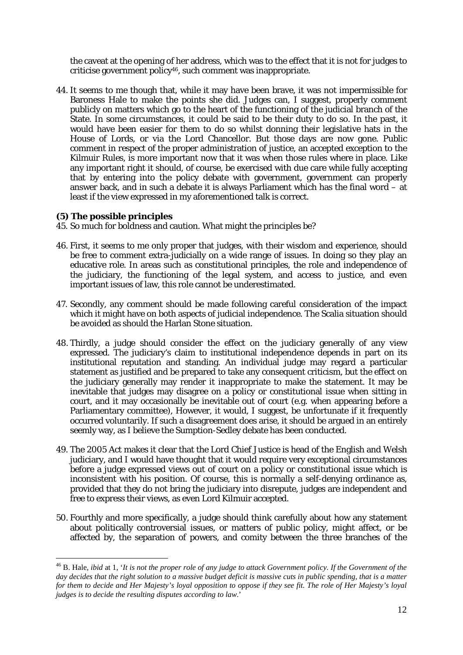the caveat at the opening of her address, which was to the effect that it is not for judges to criticise government policy46, such comment was inappropriate.

 44. It seems to me though that, while it may have been brave, it was not impermissible for that by entering into the policy debate with government, government can properly Baroness Hale to make the points she did. Judges can, I suggest, properly comment publicly on matters which go to the heart of the functioning of the judicial branch of the State. In some circumstances, it could be said to be their duty to do so. In the past, it would have been easier for them to do so whilst donning their legislative hats in the House of Lords, or via the Lord Chancellor. But those days are now gone. Public comment in respect of the proper administration of justice, an accepted exception to the Kilmuir Rules, is more important now that it was when those rules where in place. Like any important right it should, of course, be exercised with due care while fully accepting answer back, and in such a debate it is always Parliament which has the final word – at least if the view expressed in my aforementioned talk is correct.

# **(5) The possible principles**

- 45. So much for boldness and caution. What might the principles be?
- be free to comment extra-judicially on a wide range of issues. In doing so they play an important issues of law, this role cannot be underestimated. 46. First, it seems to me only proper that judges, with their wisdom and experience, should educative role. In areas such as constitutional principles, the role and independence of the judiciary, the functioning of the legal system, and access to justice, and even
- 47. Secondly, any comment should be made following careful consideration of the impact which it might have on both aspects of judicial independence. The Scalia situation should be avoided as should the Harlan Stone situation.
- 48. Thirdly, a judge should consider the effect on the judiciary generally of any view expressed. The judiciary's claim to institutional independence depends in part on its institutional reputation and standing. An individual judge may regard a particular statement as justified and be prepared to take any consequent criticism, but the effect on the judiciary generally may render it inappropriate to make the statement. It may be inevitable that judges may disagree on a policy or constitutional issue when sitting in court, and it may occasionally be inevitable out of court (e.g. when appearing before a Parliamentary committee), However, it would, I suggest, be unfortunate if it frequently occurred voluntarily. If such a disagreement does arise, it should be argued in an entirely seemly way, as I believe the Sumption-Sedley debate has been conducted.
- free to express their views, as even Lord Kilmuir accepted. 49. The 2005 Act makes it clear that the Lord Chief Justice is head of the English and Welsh judiciary, and I would have thought that it would require very exceptional circumstances before a judge expressed views out of court on a policy or constitutional issue which is inconsistent with his position. Of course, this is normally a self-denying ordinance as, provided that they do not bring the judiciary into disrepute, judges are independent and
- 50. Fourthly and more specifically, a judge should think carefully about how any statement about politically controversial issues, or matters of public policy, might affect, or be affected by, the separation of powers, and comity between the three branches of the

for them to decide and Her Majesty's loyal opposition to oppose if they see fit. The role of Her Majesty's loyal 46 B. Hale, *ibid* at 1, '*It is not the proper role of any judge to attack Government policy. If the Government of the day decides that the right solution to a massive budget deficit is massive cuts in public spending, that is a matter judges is to decide the resulting disputes according to law.*'